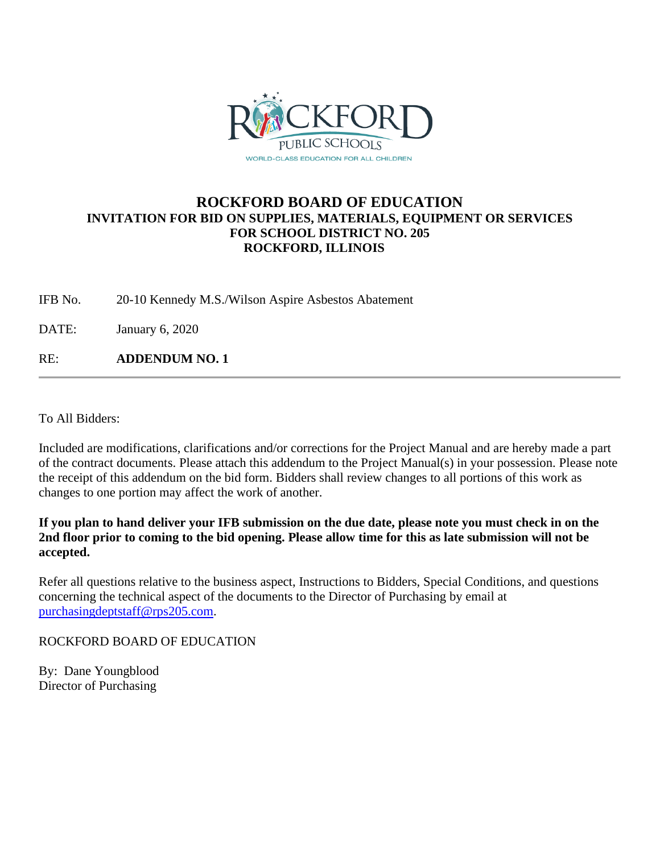

# **ROCKFORD BOARD OF EDUCATION INVITATION FOR BID ON SUPPLIES, MATERIALS, EQUIPMENT OR SERVICES FOR SCHOOL DISTRICT NO. 205 ROCKFORD, ILLINOIS**

IFB No. 20-10 Kennedy M.S./Wilson Aspire Asbestos Abatement

DATE: January 6, 2020

RE: **ADDENDUM NO. 1**

To All Bidders:

Included are modifications, clarifications and/or corrections for the Project Manual and are hereby made a part of the contract documents. Please attach this addendum to the Project Manual(s) in your possession. Please note the receipt of this addendum on the bid form. Bidders shall review changes to all portions of this work as changes to one portion may affect the work of another.

**If you plan to hand deliver your IFB submission on the due date, please note you must check in on the 2nd floor prior to coming to the bid opening. Please allow time for this as late submission will not be accepted.**

Refer all questions relative to the business aspect, Instructions to Bidders, Special Conditions, and questions concerning the technical aspect of the documents to the Director of Purchasing by email at [purchasingdeptstaff@rps205.com.](mailto:purchasingdeptstaff@rps205.com)

ROCKFORD BOARD OF EDUCATION

By: Dane Youngblood Director of Purchasing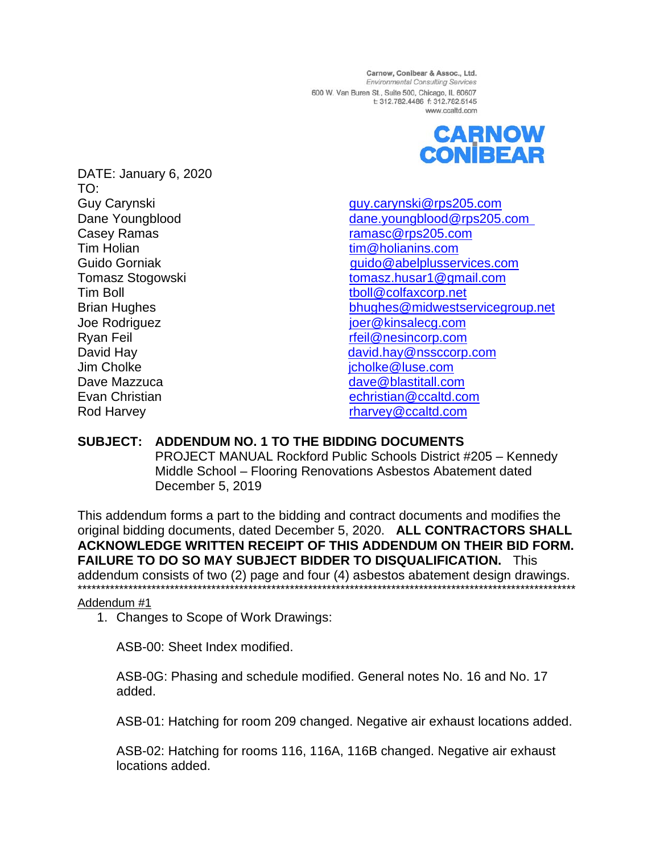Carnow, Conibear & Assoc., Ltd. Environmental Consulting Services 600 W. Van Buren St., Suite 500, Chicago, IL 60607 t: 312.782.4486 f: 312.782.5145 www.ccaltd.com



DATE: January 6, 2020 TO: **Guy Carynski** Dane Youngblood Casey Ramas Tim Holian Guido Gorniak Tomasz Stogowski Tim Boll **Brian Hughes** Joe Rodriguez Ryan Feil David Hay Jim Cholke Dave Mazzuca Evan Christian Rod Harvey

guy.carynski@rps205.com dane.voungblood@rps205.com ramasc@rps205.com tim@holianins.com guido@abelplusservices.com tomasz.husar1@gmail.com tboll@colfaxcorp.net bhughes@midwestservicegroup.net ioer@kinsalecq.com rfeil@nesincorp.com david.hay@nssccorp.com jcholke@luse.com dave@blastitall.com echristian@ccaltd.com rharvey@ccaltd.com

# SUBJECT: ADDENDUM NO. 1 TO THE BIDDING DOCUMENTS

PROJECT MANUAL Rockford Public Schools District #205 - Kennedy Middle School - Flooring Renovations Asbestos Abatement dated December 5, 2019

This addendum forms a part to the bidding and contract documents and modifies the original bidding documents, dated December 5, 2020. ALL CONTRACTORS SHALL ACKNOWLEDGE WRITTEN RECEIPT OF THIS ADDENDUM ON THEIR BID FORM. **FAILURE TO DO SO MAY SUBJECT BIDDER TO DISQUALIFICATION. This** addendum consists of two (2) page and four (4) asbestos abatement design drawings. 

# Addendum #1

1. Changes to Scope of Work Drawings:

ASB-00: Sheet Index modified.

ASB-0G: Phasing and schedule modified. General notes No. 16 and No. 17 added.

ASB-01: Hatching for room 209 changed. Negative air exhaust locations added.

ASB-02: Hatching for rooms 116, 116A, 116B changed. Negative air exhaust locations added.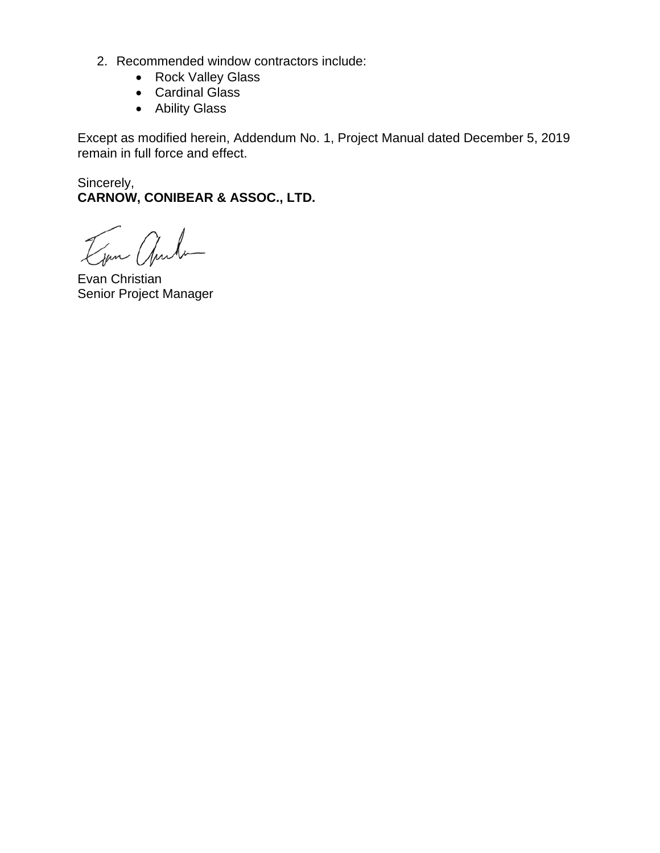- 2. Recommended window contractors include:
	- Rock Valley Glass
	- Cardinal Glass
	- Ability Glass

Except as modified herein, Addendum No. 1, Project Manual dated December 5, 2019 remain in full force and effect.

Sincerely, **CARNOW, CONIBEAR & ASSOC., LTD.**

Jan ande

Evan Christian Senior Project Manager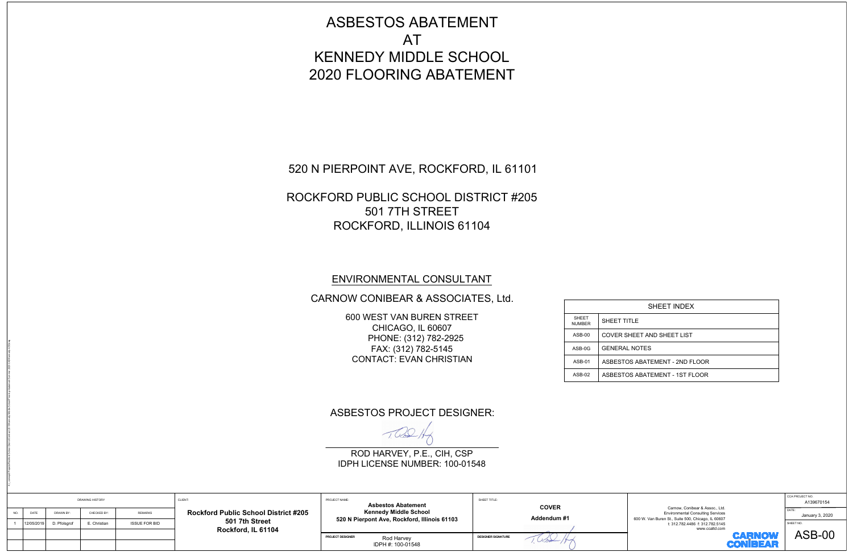| <b>SHEET</b><br><b>NUMBER</b> | SHEET T       |
|-------------------------------|---------------|
| $ASB-00$                      | COVER S       |
| ASB-0G                        | <b>GENERA</b> |
| $ASB-01$                      | ASBEST        |
| $ASB-02$                      | <b>ASBEST</b> |
|                               |               |

|                                                                                                                                                                                                                                                                               | <b>ASBESTOS ABATEMENT</b><br><b>AT</b><br><b>KENNEDY MIDDLE SCHOOL</b><br><b>2020 FLOORING ABATEMENT</b>                                                                                           |                                                                                  |                                                                                                              |                                                                                                                                                                                                                            |                                                                                         |
|-------------------------------------------------------------------------------------------------------------------------------------------------------------------------------------------------------------------------------------------------------------------------------|----------------------------------------------------------------------------------------------------------------------------------------------------------------------------------------------------|----------------------------------------------------------------------------------|--------------------------------------------------------------------------------------------------------------|----------------------------------------------------------------------------------------------------------------------------------------------------------------------------------------------------------------------------|-----------------------------------------------------------------------------------------|
|                                                                                                                                                                                                                                                                               | 520 N PIERPOINT AVE, ROCKFORD, IL 61101<br>ROCKFORD PUBLIC SCHOOL DISTRICT #205<br>501 7TH STREET<br>ROCKFORD, ILLINOIS 61104                                                                      |                                                                                  |                                                                                                              |                                                                                                                                                                                                                            |                                                                                         |
|                                                                                                                                                                                                                                                                               | ENVIRONMENTAL CONSULTANT<br>CARNOW CONIBEAR & ASSOCIATES, Ltd.<br>600 WEST VAN BUREN STREET<br>CHICAGO, IL 60607<br>PHONE: (312) 782-2925<br>FAX: (312) 782-5145<br><b>CONTACT: EVAN CHRISTIAN</b> |                                                                                  | <b>SHEET</b><br>SHEET TITLE<br><b>NUMBER</b><br>ASB-00<br><b>GENERAL NOTES</b><br>ASB-0G<br>ASB-01<br>ASB-02 | SHEET INDEX<br>COVER SHEET AND SHEET LIST<br>ASBESTOS ABATEMENT - 2ND FLOOR<br>ASBESTOS ABATEMENT - 1ST FLOOR                                                                                                              |                                                                                         |
|                                                                                                                                                                                                                                                                               | <b>ASBESTOS PROJECT DESIGNER:</b><br>1002<br>ROD HARVEY, P.E., CIH, CSP<br>IDPH LICENSE NUMBER: 100-01548                                                                                          |                                                                                  |                                                                                                              |                                                                                                                                                                                                                            |                                                                                         |
| CLIENT:<br><b>DRAWING HISTORY</b><br><b>Rockford Public School District #205</b><br>NO.<br>CHECKED BY:<br><b>REMARKS</b><br>DATE<br>DRAWN BY:<br>501 7th Street<br><b>ISSUE FOR BID</b><br>12/05/2019<br>D. Pfolsgrof<br>E. Christian<br>$\overline{1}$<br>Rockford, IL 61104 | PROJECT NAME:<br><b>Asbestos Abatement</b><br><b>Kennedy Middle School</b><br>520 N Pierpont Ave, Rockford, Illinois 61103<br>PROJECT DESIGNER<br>Rod Harvey<br>IDPH #: 100-01548                  | SHEET TITLE:<br><b>COVER</b><br>Addendum #1<br><b>DESIGNER SIGNATURE</b><br>UCod |                                                                                                              | Carnow, Conibear & Assoc., Ltd.<br><b>Environmental Consulting Services</b><br>600 W. Van Buren St., Suite 500, Chicago, IL 60607<br>t: 312.782.4486 f: 312.782.5145<br>www.ccaltd.com<br><b>CARNOW</b><br><b>CONIBEAR</b> | CCA PROJECT NO.<br>A139670154<br>DATE:<br>January 3, 2020<br>SHEET NO.<br><b>ASB-00</b> |

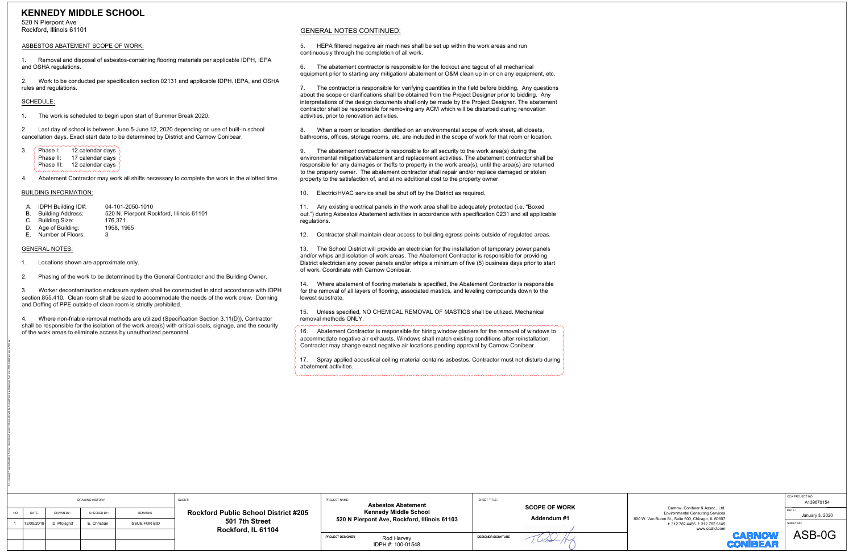| Phase I:   | 12 calendar days $\langle$  |
|------------|-----------------------------|
| Phase II:  | 17 calendar days            |
| Phase III: | 12 calendar days $\sqrt{ }$ |
|            |                             |

- 
- 
- 
- 
- 

K:\\_comwpd\Projects\Rockford School District\Contract 2013\Kennedy Middle School\Flooring Abatement Summer 2020\CAD\Kennedy ASB.dwg

| <b>KENNEDY MIDDLE SCHOOL</b><br>520 N Pierpont Ave<br>Rockford, Illinois 61101                                                                                                                                                                                         |                                                               |                                                                                                                                                                                                                                                                                                            |                                    |                                                                                                                                                                      |                                       |
|------------------------------------------------------------------------------------------------------------------------------------------------------------------------------------------------------------------------------------------------------------------------|---------------------------------------------------------------|------------------------------------------------------------------------------------------------------------------------------------------------------------------------------------------------------------------------------------------------------------------------------------------------------------|------------------------------------|----------------------------------------------------------------------------------------------------------------------------------------------------------------------|---------------------------------------|
| ASBESTOS ABATEMENT SCOPE OF WORK:                                                                                                                                                                                                                                      |                                                               | <b>GENERAL NOTES CONTINUED:</b><br>HEPA filtered negative air machines shall be set up within the work areas and run                                                                                                                                                                                       |                                    |                                                                                                                                                                      |                                       |
| Removal and disposal of asbestos-containing flooring materials per applicable IDPH, IEPA<br>and OSHA regulations.                                                                                                                                                      |                                                               | continuously through the completion of all work.<br>The abatement contractor is responsible for the lockout and tagout of all mechanical                                                                                                                                                                   |                                    |                                                                                                                                                                      |                                       |
| Work to be conducted per specification section 02131 and applicable IDPH, IEPA, and OSHA<br>2.<br>rules and regulations.                                                                                                                                               |                                                               | equipment prior to starting any mitigation/ abatement or O&M clean up in or on any equipment, etc.<br>The contractor is responsible for verifying quantities in the field before bidding. Any questions                                                                                                    |                                    |                                                                                                                                                                      |                                       |
| SCHEDULE:                                                                                                                                                                                                                                                              |                                                               | about the scope or clarifications shall be obtained from the Project Designer prior to bidding. Any<br>interpretations of the design documents shall only be made by the Project Designer. The abatement                                                                                                   |                                    |                                                                                                                                                                      |                                       |
| The work is scheduled to begin upon start of Summer Break 2020.                                                                                                                                                                                                        |                                                               | contractor shall be responsible for removing any ACM which will be disturbed during renovation<br>activities, prior to renovation activities.                                                                                                                                                              |                                    |                                                                                                                                                                      |                                       |
| Last day of school is between June 5-June 12, 2020 depending on use of built-in school<br>2.<br>cancellation days. Exact start date to be determined by District and Carnow Conibear.                                                                                  | 8.                                                            | When a room or location identified on an environmental scope of work sheet, all closets,<br>bathrooms, offices, storage rooms, etc. are included in the scope of work for that room or location.                                                                                                           |                                    |                                                                                                                                                                      |                                       |
| 12 calendar days<br>Phase I:<br>Phase II: 17 calendar days                                                                                                                                                                                                             |                                                               | The abatement contractor is responsible for all security to the work area(s) during the<br>environmental mitigation/abatement and replacement activities. The abatement contractor shall be                                                                                                                |                                    |                                                                                                                                                                      |                                       |
| Phase III: 12 calendar days<br>Abatement Contractor may work all shifts necessary to complete the work in the allotted time.                                                                                                                                           |                                                               | responsible for any damages or thefts to property in the work area(s), until the area(s) are returned<br>to the property owner. The abatement contractor shall repair and/or replace damaged or stolen<br>property to the satisfaction of, and at no additional cost to the property owner.                |                                    |                                                                                                                                                                      |                                       |
| <b>BUILDING INFORMATION:</b>                                                                                                                                                                                                                                           | 10.                                                           | Electric/HVAC service shall be shut off by the District as required.                                                                                                                                                                                                                                       |                                    |                                                                                                                                                                      |                                       |
| 04-101-2050-1010<br>IDPH Building ID#:<br>А.<br><b>Building Address:</b><br>520 N. Pierpont Rockford, Illinois 61101<br>В.<br><b>Building Size:</b><br>176,371<br>Age of Building:<br>1958, 1965<br>D.                                                                 | 11.<br>regulations.                                           | Any existing electrical panels in the work area shall be adequately protected (i.e. "Boxed<br>out.") during Asbestos Abatement activities in accordance with specification 0231 and all applicable                                                                                                         |                                    |                                                                                                                                                                      |                                       |
| Number of Floors:                                                                                                                                                                                                                                                      | 12.                                                           | Contractor shall maintain clear access to building egress points outside of regulated areas.                                                                                                                                                                                                               |                                    |                                                                                                                                                                      |                                       |
| <b>GENERAL NOTES:</b><br>Locations shown are approximate only.                                                                                                                                                                                                         | 13.                                                           | The School District will provide an electrician for the installation of temporary power panels<br>and/or whips and isolation of work areas. The Abatement Contractor is responsible for providing<br>District electrician any power panels and/or whips a minimum of five (5) business days prior to start |                                    |                                                                                                                                                                      |                                       |
| Phasing of the work to be determined by the General Contractor and the Building Owner.                                                                                                                                                                                 |                                                               | of work. Coordinate with Carnow Conibear.                                                                                                                                                                                                                                                                  |                                    |                                                                                                                                                                      |                                       |
| Worker decontamination enclosure system shall be constructed in strict accordance with IDPH<br>3.<br>section 855.410. Clean room shall be sized to accommodate the needs of the work crew. Donning<br>and Doffing of PPE outside of clean room is strictly prohibited. | lowest substrate.                                             | 14. Where abatement of flooring materials is specified, the Abatement Contractor is responsible<br>for the removal of all layers of flooring, associated mastics, and leveling compounds down to the                                                                                                       |                                    |                                                                                                                                                                      |                                       |
| Where non-friable removal methods are utilized (Specification Section 3.11(D)), Contractor                                                                                                                                                                             |                                                               | 15. Unless specified, NO CHEMICAL REMOVAL OF MASTICS shall be utilized. Mechanical<br>removal methods ONLY.                                                                                                                                                                                                |                                    |                                                                                                                                                                      |                                       |
| shall be responsible for the isolation of the work area(s) with critical seals, signage, and the security<br>of the work areas to eliminate access by unauthorized personnel.                                                                                          |                                                               | 16. Abatement Contractor is responsible for hiring window glaziers for the removal of windows to<br>accommodate negative air exhausts. Windows shall match existing conditions after reinstallation.<br>Contractor may change exact negative air locations pending approval by Carnow Conibear.            |                                    |                                                                                                                                                                      |                                       |
|                                                                                                                                                                                                                                                                        |                                                               | 17. Spray applied acoustical ceiling material contains asbestos. Contractor must not disturb during<br>abatement activities.                                                                                                                                                                               |                                    |                                                                                                                                                                      |                                       |
|                                                                                                                                                                                                                                                                        |                                                               |                                                                                                                                                                                                                                                                                                            |                                    |                                                                                                                                                                      |                                       |
|                                                                                                                                                                                                                                                                        |                                                               |                                                                                                                                                                                                                                                                                                            |                                    |                                                                                                                                                                      |                                       |
| CLIENT:<br><b>DRAWING HISTORY</b>                                                                                                                                                                                                                                      |                                                               | PROJECT NAME:                                                                                                                                                                                                                                                                                              | SHEET TITLE:                       |                                                                                                                                                                      | CA PROJECT NO.<br>A139670154          |
| <b>REMARKS</b><br><b>DRAWN BY:</b><br>CHECKED BY:<br>DATE<br>12/05/2019<br><b>ISSUE FOR BID</b>                                                                                                                                                                        | <b>Rockford Public School District #205</b><br>501 7th Street | <b>Asbestos Abatement</b><br><b>Kennedy Middle School</b><br>520 N Pierpont Ave, Rockford, Illinois 61103                                                                                                                                                                                                  | <b>SCOPE OF WORK</b><br>Addendum#1 | Carnow, Conibear & Assoc., Ltd.<br><b>Environmental Consulting Services</b><br>600 W. Van Buren St., Suite 500, Chicago, IL 60607<br>t: 312.782.4486 f: 312.782.5145 | DATE:<br>January 3, 2020<br>SHEET NO. |
| D. Pfolsgrof<br>E. Christian                                                                                                                                                                                                                                           | Rockford, IL 61104                                            | PROJECT DESIGNER<br>Rod Harvey                                                                                                                                                                                                                                                                             | <b>DESIGNER SIGNATURE</b>          | www.ccaltd.com<br><b>CARNOW</b>                                                                                                                                      | ASB-0G                                |
|                                                                                                                                                                                                                                                                        |                                                               | IDPH #: 100-01548                                                                                                                                                                                                                                                                                          |                                    | <b>CONIBEAR</b>                                                                                                                                                      |                                       |

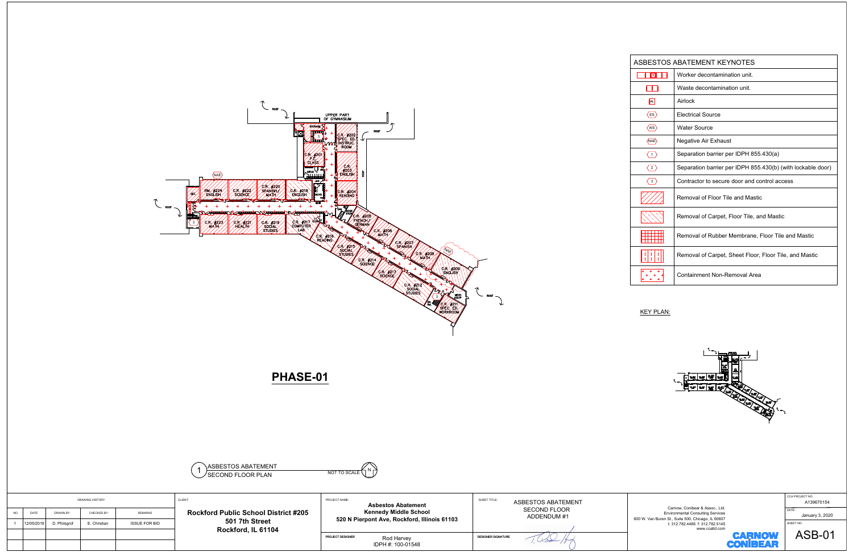



|                               | ASBESTOS ABATEMENT KEYNOTES                                 |
|-------------------------------|-------------------------------------------------------------|
| IMI                           | Worker decontamination unit.                                |
|                               | Waste decontamination unit.                                 |
| <b>AL</b>                     | Airlock                                                     |
| $\langle$ ES $\rangle$        | <b>Flectrical Source</b>                                    |
| $\langle \mathsf{ws} \rangle$ | <b>Water Source</b>                                         |
| (NAE)                         | Negative Air Exhaust                                        |
| $\langle 1 \rangle$           | Separation barrier per IDPH 855.430(a)                      |
| $\langle 2 \rangle$           | Separation barrier per IDPH 855.430(b) (with lockable door) |
| $\overline{3}$                | Contractor to secure door and control access                |
|                               | Removal of Floor Tile and Mastic                            |
|                               | Removal of Carpet, Floor Tile, and Mastic                   |
|                               | Removal of Rubber Membrane, Floor Tile and Mastic           |
|                               | Removal of Carpet, Sheet Floor, Floor Tile, and Mastic      |
|                               | Containment Non-Removal Area                                |



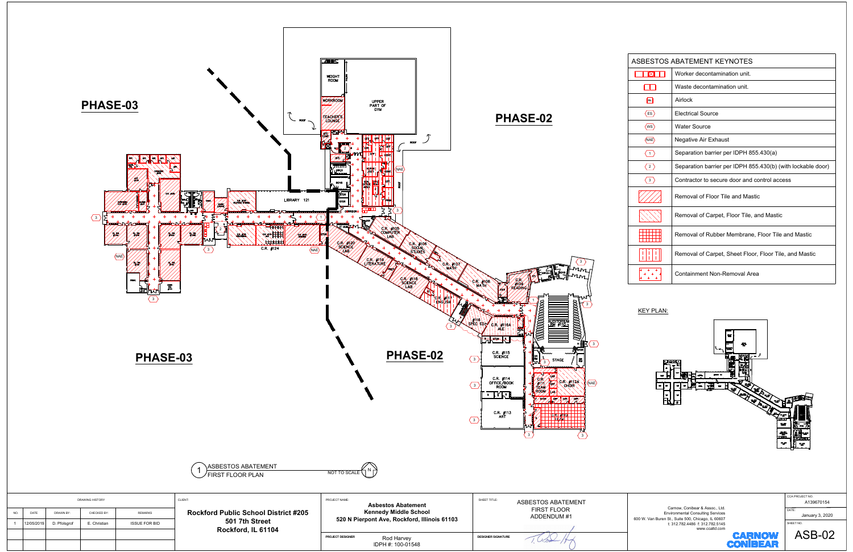

|                         | ASBESTOS ABATEMENT KEYNOTES                                 |
|-------------------------|-------------------------------------------------------------|
| ΙM                      | Worker decontamination unit.                                |
|                         | Waste decontamination unit                                  |
| <b>AL</b>               | Airlock                                                     |
| $\mathsf{ES}\rangle$    | <b>Flectrical Source</b>                                    |
| $\langle$ ws            | <b>Water Source</b>                                         |
| $\langle$ NAE $\rangle$ | Negative Air Exhaust                                        |
| $\langle 1 \rangle$     | Separation barrier per IDPH 855.430(a)                      |
| 2                       | Separation barrier per IDPH 855.430(b) (with lockable door) |
| $\langle 3 \rangle$     | Contractor to secure door and control access                |
|                         | Removal of Floor Tile and Mastic                            |
|                         | Removal of Carpet, Floor Tile, and Mastic                   |
|                         | Removal of Rubber Membrane, Floor Tile and Mastic           |
|                         | Removal of Carpet, Sheet Floor, Floor Tile, and Mastic      |
|                         | Containment Non-Removal Area                                |

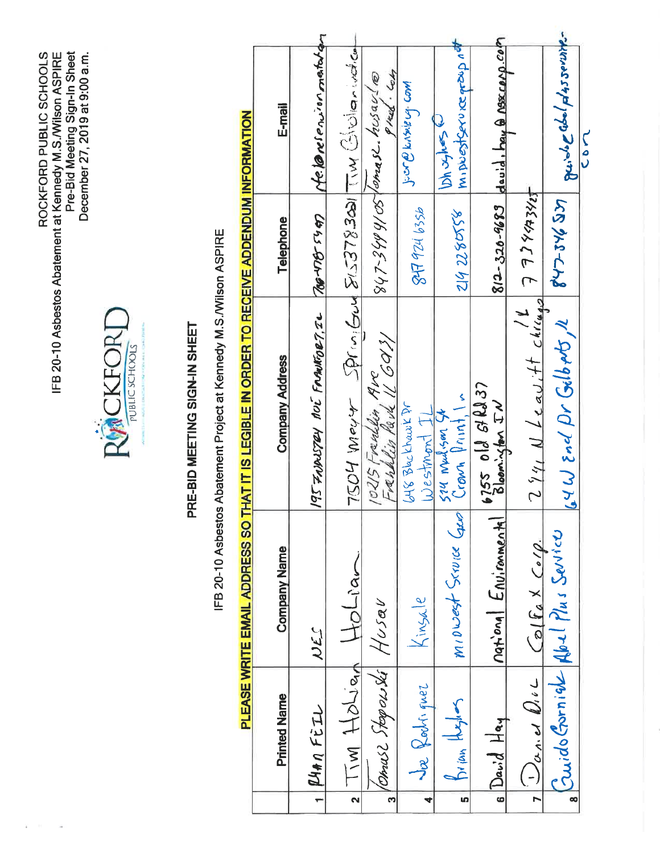ROCKFORD PUBLIC SCHOOLS<br>IFB 20-10 Asbestos Abatement at Kennedy M.S./Wilson ASPIRE<br>Pre-Bid Meeting Sign-In Sheet<br>December 27, 2019 at 9:00 a.m.



# PRE-BID MEETING SIGN-IN SHEET

IFB 20-10 Asbestos Abatement Project at Kennedy M.S./Wilson ASPIRE

# PLEASE WRITE EMAIL ADDRESS SO THAT IT IS LEGIBLE IN ORDER TO RECEIVE ADDENDIM INFORMATION

| E-mail                 | ofe lareroinnertation         |                                           | $847 - 3499/05$ comes 2. his ay (@<br>Preed. Com | Juan B Knake Lig Com             | Iminostservice proup net<br>ことをと   | $812 - 320 - 9683$ devid, bay a nexcorp.com |                                           | guide abol plasservite         | <b>CON</b> |
|------------------------|-------------------------------|-------------------------------------------|--------------------------------------------------|----------------------------------|------------------------------------|---------------------------------------------|-------------------------------------------|--------------------------------|------------|
| Telephone              | Top NB 5497                   |                                           |                                                  | 847 924 6356                     | 2142280558                         |                                             |                                           | 42724632                       |            |
| <b>Company Address</b> | 195 FAIRSTRY NOT FRANKORT, IL | Trot meast Spring Sus 2008378300 Michaels | 10215 Frenchin Rvc<br>Frenklin Pavk IL GO13/     | G48 Blue Khawk Pr<br>Westmont IL | Crown Print, In<br>324 Marison 525 | 6755 018 81237<br>Blooningfor IN            | $2$ 941 N Leavitt chings 7 784342         | 64W End Dr GilbAts, 1          |            |
| <b>Company Name</b>    | NES                           | $+o$ Liar                                 |                                                  | Kinsale                          | MIDWAST SCOVICE GRO                | national Environmental                      | $C$ olfax $C$ olp                         | Cuido Gorniek Abel Plus Sevice |            |
| <b>Printed Name</b>    | RHAN FEIL                     | Tw Holian<br>$\overline{\mathbf{r}}$      | Omuse Steeperski Husav<br>$\mathbf{r}$           | Ja Rochiquez                     | Jrian Hughes<br>un.                | $6$ David Hay                               | $U_{\alpha,\alpha}$ d $U_{i}\subset$<br>F | $\frac{1}{\infty}$             |            |
|                        |                               |                                           |                                                  |                                  |                                    |                                             |                                           |                                |            |